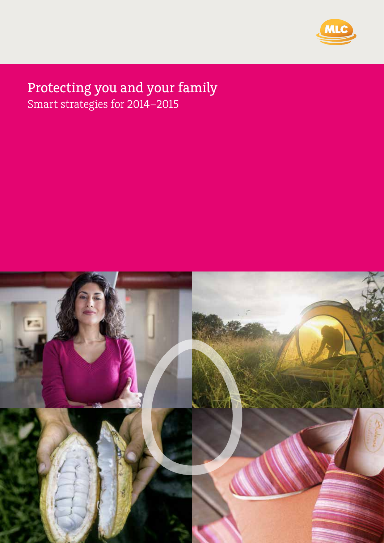

# Protecting you and your family

Smart strategies for 2014–2015

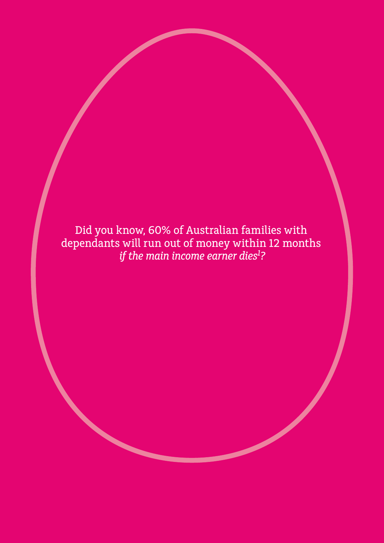Did you know, 60% of Australian families with dependants will run out of money within 12 months  *if the main income earner dies1 ?*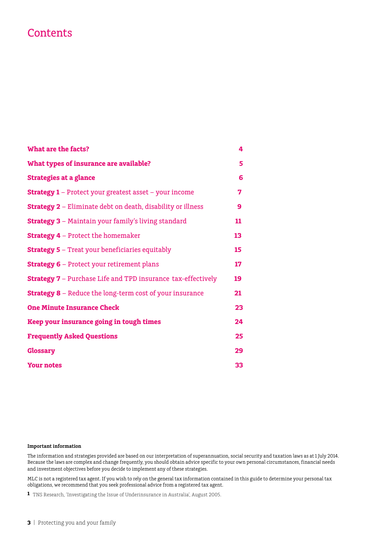### **Contents**

| What are the facts?                                                 | 4  |
|---------------------------------------------------------------------|----|
| What types of insurance are available?                              | 5  |
| <b>Strategies at a glance</b>                                       | 6  |
| <b>Strategy 1</b> - Protect your greatest asset - your income       | 7  |
| <b>Strategy 2</b> - Eliminate debt on death, disability or illness  | 9  |
| <b>Strategy 3</b> - Maintain your family's living standard          | 11 |
| <b>Strategy 4</b> – Protect the homemaker                           | 13 |
| <b>Strategy 5</b> - Treat your beneficiaries equitably              | 15 |
| <b>Strategy 6</b> - Protect your retirement plans                   | 17 |
| <b>Strategy 7</b> - Purchase Life and TPD insurance tax-effectively | 19 |
| <b>Strategy 8</b> - Reduce the long-term cost of your insurance     | 21 |
| <b>One Minute Insurance Check</b>                                   | 23 |
| Keep your insurance going in tough times                            | 24 |
| <b>Frequently Asked Questions</b>                                   | 25 |
| <b>Glossary</b>                                                     | 29 |
| <b>Your notes</b>                                                   | 33 |

#### **Important information**

The information and strategies provided are based on our interpretation of superannuation, social security and taxation laws as at 1 July 2014. Because the laws are complex and change frequently, you should obtain advice specific to your own personal circumstances, financial needs and investment objectives before you decide to implement any of these strategies.

MLC is not a registered tax agent. If you wish to rely on the general tax information contained in this guide to determine your personal tax obligations, we recommend that you seek professional advice from a registered tax agent.

**1** TNS Research, 'Investigating the Issue of Underinsurance in Australia', August 2005.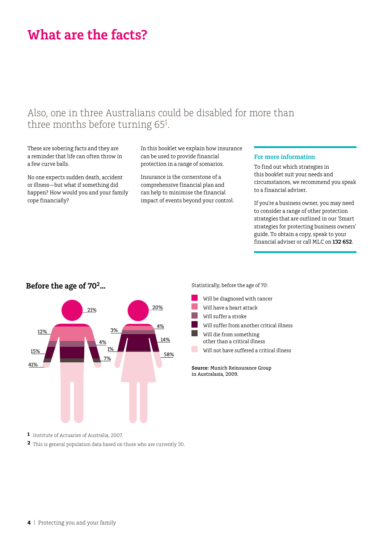# **What are the facts?**

### Also, one in three Australians could be disabled for more than three months before turning  $65<sup>1</sup>$ .

These are sobering facts and they are a reminder that life can often throw in a few curve balls.

No one expects sudden death, accident or illness—but what if something did happen? How would you and your family cope financially?

In this booklet we explain how insurance can be used to provide financial protection in a range of scenarios.

Insurance is the cornerstone of a comprehensive financial plan and can help to minimise the financial impact of events beyond your control.

#### **For more information**

To find out which strategies in this booklet suit your needs and circumstances, we recommend you speak to a financial adviser.

If you're a business owner, you may need to consider a range of other protection strategies that are outlined in our 'Smart strategies for protecting business owners' guide. To obtain a copy, speak to your financial adviser or call MLC on **132 652**.



#### **Before the age of 702…**

**Source:** Munich Reinsurance Group in Australasia, 2009. Will be diagnosed with cancer Will have a heart attack Will suffer a stroke Will suffer from another critical illness Will die from something other than a critical illness Will not have suffered a critical illness

Statistically, before the age of 70:

**1** Institute of Actuaries of Australia, 2007.

**2** This is general population data based on those who are currently 30.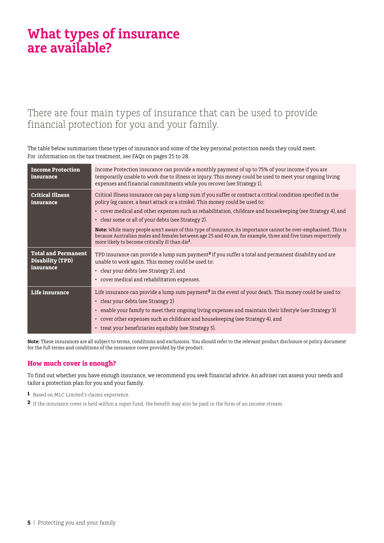## **What types of insurance are available?**

### There are four main types of insurance that can be used to provide financial protection for you and your family.

The table below summarises these types of insurance and some of the key personal protection needs they could meet. For information on the tax treatment, see FAQs on pages 25 to 28.

| <b>Income Protection</b><br>insurance                       | Income Protection insurance can provide a monthly payment of up to 75% of your income if you are<br>temporarily unable to work due to illness or injury. This money could be used to meet your ongoing living<br>expenses and financial commitments while you recover (see Strategy 1).                                                                                                                                                                                                                                                                                                                                                                                           |
|-------------------------------------------------------------|-----------------------------------------------------------------------------------------------------------------------------------------------------------------------------------------------------------------------------------------------------------------------------------------------------------------------------------------------------------------------------------------------------------------------------------------------------------------------------------------------------------------------------------------------------------------------------------------------------------------------------------------------------------------------------------|
| <b>Critical Illness</b><br>insurance                        | Critical Illness insurance can pay a lump sum if you suffer or contract a critical condition specified in the<br>policy (eg cancer, a heart attack or a stroke). This money could be used to:<br>• cover medical and other expenses such as rehabilitation, childcare and housekeeping (see Strategy 4), and<br>• clear some or all of your debts (see Strategy 2).<br><b>Note:</b> While many people aren't aware of this type of insurance, its importance cannot be over-emphasised. This is<br>because Australian males and females between age 25 and 40 are, for example, three and five times respectively<br>more likely to become critically ill than die <sup>1</sup> . |
| <b>Total and Permanent</b><br>Disability (TPD)<br>insurance | TPD insurance can provide a lump sum payment <sup>2</sup> if you suffer a total and permanent disability and are<br>unable to work again. This money could be used to:<br>• clear your debts (see Strategy 2), and<br>• cover medical and rehabilitation expenses.                                                                                                                                                                                                                                                                                                                                                                                                                |
| Life insurance                                              | Life insurance can provide a lump sum payment <sup>2</sup> in the event of your death. This money could be used to:<br>• clear your debts (see Strategy 2)<br>· enable your family to meet their ongoing living expenses and maintain their lifestyle (see Strategy 3)<br>• cover other expenses such as childcare and housekeeping (see Strategy 4), and<br>• treat your beneficiaries equitably (see Strategy 5).                                                                                                                                                                                                                                                               |

**Note:** These insurances are all subject to terms, conditions and exclusions. You should refer to the relevant product disclosure or policy document for the full terms and conditions of the insurance cover provided by the product.

#### **How much cover is enough?**

To find out whether you have enough insurance, we recommend you seek financial advice. An adviser can assess your needs and tailor a protection plan for you and your family.

**1** Based on MLC Limited's claims experience.

**2** If the insurance cover is held within a super fund, the benefit may also be paid in the form of an income stream.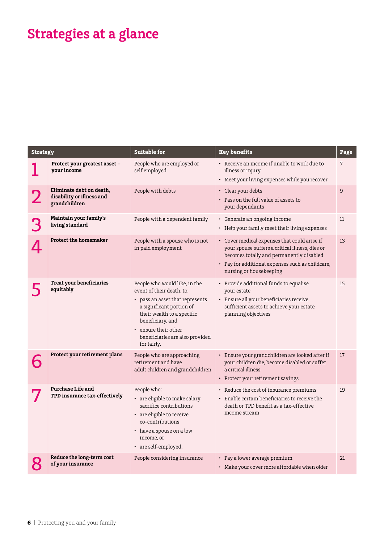# **Strategies at a glance**

| <b>Strategy</b> |                                                                        | <b>Suitable for</b>                                                                                                                                                                                                                                   | <b>Key benefits</b>                                                                                                                                                                                                        | Page |
|-----------------|------------------------------------------------------------------------|-------------------------------------------------------------------------------------------------------------------------------------------------------------------------------------------------------------------------------------------------------|----------------------------------------------------------------------------------------------------------------------------------------------------------------------------------------------------------------------------|------|
|                 | Protect your greatest asset -<br>your income                           | People who are employed or<br>self employed                                                                                                                                                                                                           | • Receive an income if unable to work due to<br>illness or injury<br>• Meet your living expenses while you recover                                                                                                         | 7    |
|                 | Eliminate debt on death.<br>disability or illness and<br>grandchildren | People with debts                                                                                                                                                                                                                                     | • Clear your debts<br>• Pass on the full value of assets to<br>your dependants                                                                                                                                             | 9    |
|                 | Maintain your family's<br>living standard                              | People with a dependent family                                                                                                                                                                                                                        | • Generate an ongoing income<br>• Help your family meet their living expenses                                                                                                                                              | 11   |
|                 | <b>Protect the homemaker</b>                                           | People with a spouse who is not<br>in paid employment                                                                                                                                                                                                 | • Cover medical expenses that could arise if<br>your spouse suffers a critical illness, dies or<br>becomes totally and permanently disabled<br>• Pay for additional expenses such as childcare,<br>nursing or housekeeping | 13   |
|                 | Treat your beneficiaries<br>equitably                                  | People who would like, in the<br>event of their death, to:<br>• pass an asset that represents<br>a significant portion of<br>their wealth to a specific<br>beneficiary, and<br>• ensure their other<br>beneficiaries are also provided<br>for fairly. | • Provide additional funds to equalise<br>your estate<br>• Ensure all your beneficiaries receive<br>sufficient assets to achieve your estate<br>planning objectives                                                        | 15   |
|                 | Protect your retirement plans                                          | People who are approaching<br>retirement and have<br>adult children and grandchildren                                                                                                                                                                 | • Ensure your grandchildren are looked after if<br>your children die, become disabled or suffer<br>a critical illness<br>• Protect your retirement savings                                                                 | 17   |
|                 | <b>Purchase Life and</b><br>TPD insurance tax-effectively              | People who:<br>• are eligible to make salary<br>sacrifice contributions<br>• are eligible to receive<br>co-contributions<br>• have a spouse on a low<br>income, or<br>• are self-employed.                                                            | • Reduce the cost of insurance premiums<br>• Enable certain beneficiaries to receive the<br>death or TPD benefit as a tax-effective<br>income stream                                                                       | 19   |
|                 | Reduce the long-term cost<br>of your insurance                         | People considering insurance                                                                                                                                                                                                                          | • Pay a lower average premium<br>• Make your cover more affordable when older                                                                                                                                              | 21   |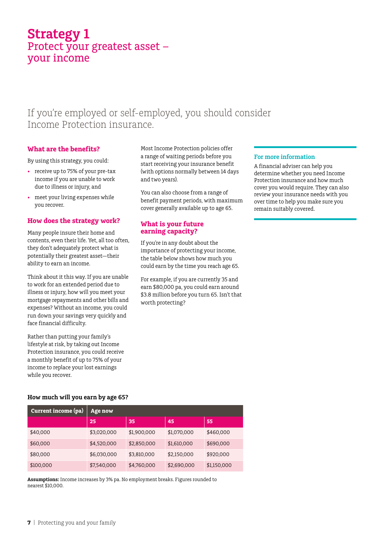### **Strategy 1** Protect your greatest asset – your income

### If you're employed or self-employed, you should consider Income Protection insurance.

#### **What are the benefits?**

By using this strategy, you could:

- receive up to 75% of your pre-tax income if you are unable to work due to illness or injury, and
- meet your living expenses while you recover.

#### **How does the strategy work?**

Many people insure their home and contents, even their life. Yet, all too often, they don't adequately protect what is potentially their greatest asset—their ability to earn an income.

Think about it this way. If you are unable to work for an extended period due to illness or injury, how will you meet your mortgage repayments and other bills and expenses? Without an income, you could run down your savings very quickly and face financial difficulty.

Rather than putting your family's lifestyle at risk, by taking out Income Protection insurance, you could receive a monthly benefit of up to 75% of your income to replace your lost earnings while you recover.

Most Income Protection policies offer a range of waiting periods before you start receiving your insurance benefit (with options normally between 14 days and two years).

You can also choose from a range of benefit payment periods, with maximum cover generally available up to age 65.

#### **What is your future earning capacity?**

If you're in any doubt about the importance of protecting your income, the table below shows how much you could earn by the time you reach age 65.

For example, if you are currently 35 and earn \$80,000 pa, you could earn around \$3.8 million before you turn 65. Isn't that worth protecting?

#### **For more information**

A financial adviser can help you determine whether you need Income Protection insurance and how much cover you would require. They can also review your insurance needs with you over time to help you make sure you remain suitably covered.

#### **How much will you earn by age 65?**

| Current income (pa) | Age now     |             |             |             |
|---------------------|-------------|-------------|-------------|-------------|
|                     | 25          | 35          | 45          | 55          |
| \$40,000            | \$3,020,000 | \$1,900,000 | \$1,070,000 | \$460,000   |
| \$60,000            | \$4,520,000 | \$2,850,000 | \$1,610,000 | \$690,000   |
| \$80,000            | \$6,030,000 | \$3,810,000 | \$2,150,000 | \$920,000   |
| \$100,000           | \$7,540,000 | \$4,760,000 | \$2,690,000 | \$1,150,000 |

**Assumptions:** Income increases by 3% pa. No employment breaks. Figures rounded to nearest \$10,000.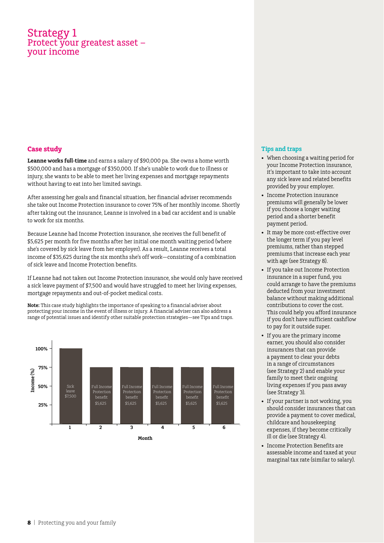### Strategy 1 Protect your greatest asset – your income

#### **Case study**

**Leanne works full-time** and earns a salary of \$90,000 pa. She owns a home worth \$500,000 and has a mortgage of \$350,000. If she's unable to work due to illness or injury, she wants to be able to meet her living expenses and mortgage repayments without having to eat into her limited savings.

After assessing her goals and financial situation, her financial adviser recommends she take out Income Protection insurance to cover 75% of her monthly income. Shortly after taking out the insurance, Leanne is involved in a bad car accident and is unable to work for six months.

Because Leanne had Income Protection insurance, she receives the full benefit of \$5,625 per month for five months after her initial one month waiting period (where she's covered by sick leave from her employer). As a result, Leanne receives a total income of \$35,625 during the six months she's off work—consisting of a combination of sick leave and Income Protection benefits.

If Leanne had not taken out Income Protection insurance, she would only have received a sick leave payment of \$7,500 and would have struggled to meet her living expenses, mortgage repayments and out-of-pocket medical costs.

**Note:** This case study highlights the importance of speaking to a financial adviser about protecting your income in the event of illness or injury. A financial adviser can also address a range of potential issues and identify other suitable protection strategies—see Tips and traps.



- • When choosing a waiting period for your Income Protection insurance, it's important to take into account any sick leave and related benefits provided by your employer.
- Income Protection insurance premiums will generally be lower if you choose a longer waiting period and a shorter benefit payment period.
- It may be more cost-effective over the longer term if you pay level premiums, rather than stepped premiums that increase each year with age (see Strategy 8).
- If you take out Income Protection insurance in a super fund, you could arrange to have the premiums deducted from your investment balance without making additional contributions to cover the cost. This could help you afford insurance if you don't have sufficient cashflow to pay for it outside super.
- • If you are the primary income earner, you should also consider insurances that can provide a payment to clear your debts in a range of circumstances (see Strategy 2) and enable your family to meet their ongoing living expenses if you pass away (see Strategy 3).
- If your partner is not working, you should consider insurances that can provide a payment to cover medical, childcare and housekeeping expenses, if they become critically ill or die (see Strategy 4).
- • Income Protection Benefits are assessable income and taxed at your marginal tax rate (similar to salary).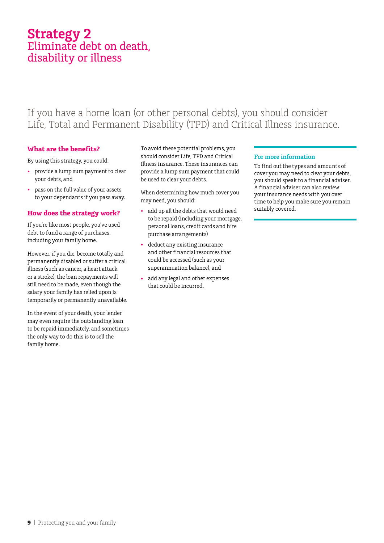## **Strategy 2** Eliminate debt on death, disability or illness

### If you have a home loan (or other personal debts), you should consider Life, Total and Permanent Disability (TPD) and Critical Illness insurance.

#### **What are the benefits?**

By using this strategy, you could:

- • provide a lump sum payment to clear your debts, and
- • pass on the full value of your assets to your dependants if you pass away.

#### **How does the strategy work?**

If you're like most people, you've used debt to fund a range of purchases, including your family home.

However, if you die, become totally and permanently disabled or suffer a critical illness (such as cancer, a heart attack or a stroke), the loan repayments will still need to be made, even though the salary your family has relied upon is temporarily or permanently unavailable.

In the event of your death, your lender may even require the outstanding loan to be repaid immediately, and sometimes the only way to do this is to sell the family home.

To avoid these potential problems, you should consider Life, TPD and Critical Illness insurance. These insurances can provide a lump sum payment that could be used to clear your debts.

When determining how much cover you may need, you should:

- • add up all the debts that would need to be repaid (including your mortgage, personal loans, credit cards and hire purchase arrangements)
- • deduct any existing insurance and other financial resources that could be accessed (such as your superannuation balance), and
- add any legal and other expenses that could be incurred.

#### **For more information**

To find out the types and amounts of cover you may need to clear your debts, you should speak to a financial adviser. A financial adviser can also review your insurance needs with you over time to help you make sure you remain suitably covered.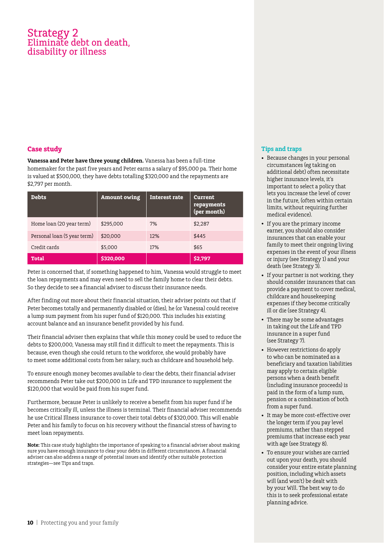### Strategy 2 Eliminate debt on death, disability or illness

#### **Case study**

**Vanessa and Peter have three young children.** Vanessa has been a full-time homemaker for the past five years and Peter earns a salary of \$95,000 pa. Their home is valued at \$500,000, they have debts totalling \$320,000 and the repayments are \$2,797 per month.

| <b>Debts</b>                | <b>Amount owing</b> | <b>Interest rate</b> | <b>Current</b><br>repayments<br>(per month) |
|-----------------------------|---------------------|----------------------|---------------------------------------------|
| Home loan (20 year term)    | \$295,000           | 7%                   | \$2,287                                     |
| Personal loan (5 year term) | \$20,000            | 12%                  | \$445                                       |
| Credit cards                | \$5,000             | 17%                  | \$65                                        |
| <b>Total</b>                | \$320,000           |                      | \$2,797                                     |

Peter is concerned that, if something happened to him, Vanessa would struggle to meet the loan repayments and may even need to sell the family home to clear their debts. So they decide to see a financial adviser to discuss their insurance needs.

After finding out more about their financial situation, their adviser points out that if Peter becomes totally and permanently disabled or (dies), he (or Vanessa) could receive a lump sum payment from his super fund of \$120,000. This includes his existing account balance and an insurance benefit provided by his fund.

Their financial adviser then explains that while this money could be used to reduce the debts to \$200,000, Vanessa may still find it difficult to meet the repayments. This is because, even though she could return to the workforce, she would probably have to meet some additional costs from her salary, such as childcare and household help.

To ensure enough money becomes available to clear the debts, their financial adviser recommends Peter take out \$200,000 in Life and TPD insurance to supplement the \$120,000 that would be paid from his super fund.

Furthermore, because Peter is unlikely to receive a benefit from his super fund if he becomes critically ill, unless the illness is terminal. Their financial adviser recommends he use Critical Illness insurance to cover their total debts of \$320,000. This will enable Peter and his family to focus on his recovery without the financial stress of having to meet loan repayments.

**Note:** This case study highlights the importance of speaking to a financial adviser about making sure you have enough insurance to clear your debts in different circumstances. A financial adviser can also address a range of potential issues and identify other suitable protection strategies—see Tips and traps.

- • Because changes in your personal circumstances (eg taking on additional debt) often necessitate higher insurance levels, it's important to select a policy that lets you increase the level of cover in the future, (often within certain limits, without requiring further medical evidence).
- • If you are the primary income earner, you should also consider insurances that can enable your family to meet their ongoing living expenses in the event of your illness or injury (see Strategy 1) and your death (see Strategy 3).
- If your partner is not working, they should consider insurances that can provide a payment to cover medical, childcare and housekeeping expenses if they become critically ill or die (see Strategy 4).
- There may be some advantages in taking out the Life and TPD insurance in a super fund (see Strategy 7).
- However restrictions do apply to who can be nominated as a beneficiary and taxation liabilities may apply to certain eligible persons when a death benefit (including insurance proceeds) is paid in the form of a lump sum, pension or a combination of both from a super fund.
- It may be more cost-effective over the longer term if you pay level premiums, rather than stepped premiums that increase each year with age (see Strategy 8).
- • To ensure your wishes are carried out upon your death, you should consider your entire estate planning position, including which assets will (and won't) be dealt with by your Will. The best way to do this is to seek professional estate planning advice.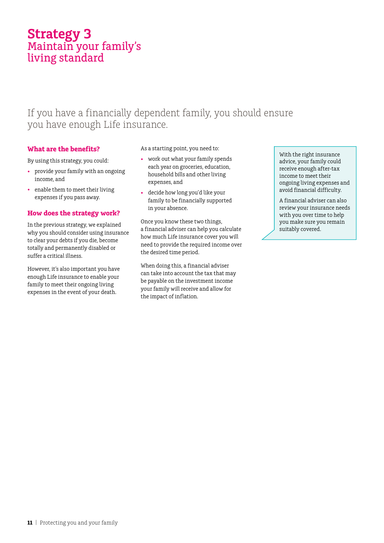## **Strategy 3** Maintain your family's living standard

### If you have a financially dependent family, you should ensure you have enough Life insurance.

#### **What are the benefits?**

By using this strategy, you could:

- • provide your family with an ongoing income, and
- enable them to meet their living expenses if you pass away.

#### **How does the strategy work?**

In the previous strategy, we explained why you should consider using insurance to clear your debts if you die, become totally and permanently disabled or suffer a critical illness.

However, it's also important you have enough Life insurance to enable your family to meet their ongoing living expenses in the event of your death.

As a starting point, you need to:

- work out what your family spends each year on groceries, education, household bills and other living expenses, and
- • decide how long you'd like your family to be financially supported in your absence.

Once you know these two things, a financial adviser can help you calculate how much Life insurance cover you will need to provide the required income over the desired time period.

When doing this, a financial adviser can take into account the tax that may be payable on the investment income your family will receive and allow for the impact of inflation.

With the right insurance advice, your family could receive enough after-tax income to meet their ongoing living expenses and avoid financial difficulty.

A financial adviser can also review your insurance needs with you over time to help you make sure you remain suitably covered.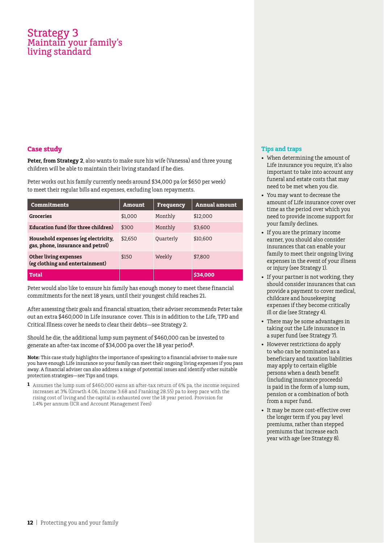### Strategy 3 Maintain your family's living standard

#### **Case study**

**Peter, from Strategy 2**, also wants to make sure his wife (Vanessa) and three young children will be able to maintain their living standard if he dies.

Peter works out his family currently needs around \$34,000 pa (or \$650 per week) to meet their regular bills and expenses, excluding loan repayments.

| <b>Commitments</b>                                                       | <b>Amount</b> | <b>Frequency</b> | <b>Annual amount</b> |
|--------------------------------------------------------------------------|---------------|------------------|----------------------|
| <b>Groceries</b>                                                         | \$1,000       | Monthly          | \$12,000             |
| Education fund (for three children)                                      | \$300         | Monthly          | \$3,600              |
| Household expenses (eg electricity,<br>gas, phone, insurance and petrol) | \$2.650       | Quarterly        | \$10,600             |
| Other living expenses<br>(eg clothing and entertainment)                 | \$150         | Weekly           | \$7,800              |
| <b>Total</b>                                                             |               |                  | \$34,000             |

Peter would also like to ensure his family has enough money to meet these financial commitments for the next 18 years, until their youngest child reaches 21.

After assessing their goals and financial situation, their adviser recommends Peter take out an extra \$460,000 in Life insurance cover. This is in addition to the Life, TPD and Critical Illness cover he needs to clear their debts—see Strategy 2.

Should he die, the additional lump sum payment of \$460,000 can be invested to generate an after-tax income of \$34,000 pa over the 18 year period**1**.

**Note:** This case study highlights the importance of speaking to a financial adviser to make sure you have enough Life insurance so your family can meet their ongoing living expenses if you pass away. A financial adviser can also address a range of potential issues and identify other suitable protection strategies—see Tips and traps.

**1** Assumes the lump sum of \$460,000 earns an after-tax return of 6% pa, the income required increases at 3% (Growth 4.06, Income 3.68 and Franking 28.55) pa to keep pace with the rising cost of living and the capital is exhausted over the 18 year period. Provision for 1.4% per annum (ICR and Account Management Fees)

- • When determining the amount of Life insurance you require, it's also important to take into account any funeral and estate costs that may need to be met when you die.
- • You may want to decrease the amount of Life insurance cover over time as the period over which you need to provide income support for your family declines.
- • If you are the primary income earner, you should also consider insurances that can enable your family to meet their ongoing living expenses in the event of your illness or injury (see Strategy 1).
- If your partner is not working, they should consider insurances that can provide a payment to cover medical, childcare and housekeeping expenses if they become critically ill or die (see Strategy 4).
- There may be some advantages in taking out the Life insurance in a super fund (see Strategy 7).
- However restrictions do apply to who can be nominated as a beneficiary and taxation liabilities may apply to certain eligible persons when a death benefit (including insurance proceeds) is paid in the form of a lump sum, pension or a combination of both from a super fund.
- It may be more cost-effective over the longer term if you pay level premiums, rather than stepped premiums that increase each year with age (see Strategy 8).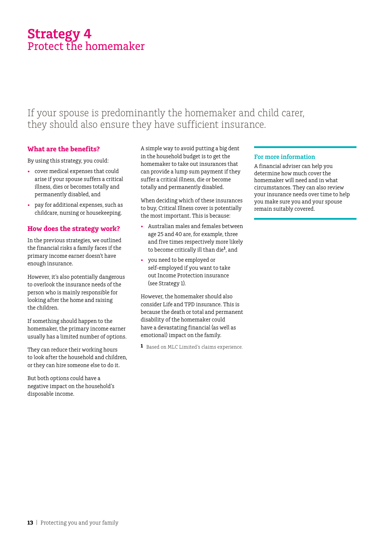## **Strategy 4** Protect the homemaker

### If your spouse is predominantly the homemaker and child carer, they should also ensure they have sufficient insurance.

#### **What are the benefits?**

By using this strategy, you could:

- • cover medical expenses that could arise if your spouse suffers a critical illness, dies or becomes totally and permanently disabled, and
- pay for additional expenses, such as childcare, nursing or housekeeping.

#### **How does the strategy work?**

In the previous strategies, we outlined the financial risks a family faces if the primary income earner doesn't have enough insurance.

However, it's also potentially dangerous to overlook the insurance needs of the person who is mainly responsible for looking after the home and raising the children.

If something should happen to the homemaker, the primary income earner usually has a limited number of options.

They can reduce their working hours to look after the household and children, or they can hire someone else to do it.

But both options could have a negative impact on the household's disposable income.

A simple way to avoid putting a big dent in the household budget is to get the homemaker to take out insurances that can provide a lump sum payment if they suffer a critical illness, die or become totally and permanently disabled.

When deciding which of these insurances to buy, Critical Illness cover is potentially the most important. This is because:

- Australian males and females between age 25 and 40 are, for example, three and five times respectively more likely to become critically ill than die**<sup>1</sup>** , and
- you need to be employed or self-employed if you want to take out Income Protection insurance (see Strategy 1).

However, the homemaker should also consider Life and TPD insurance. This is because the death or total and permanent disability of the homemaker could have a devastating financial (as well as emotional) impact on the family.

**1** Based on MLC Limited's claims experience.

#### **For more information**

A financial adviser can help you determine how much cover the homemaker will need and in what circumstances. They can also review your insurance needs over time to help you make sure you and your spouse remain suitably covered.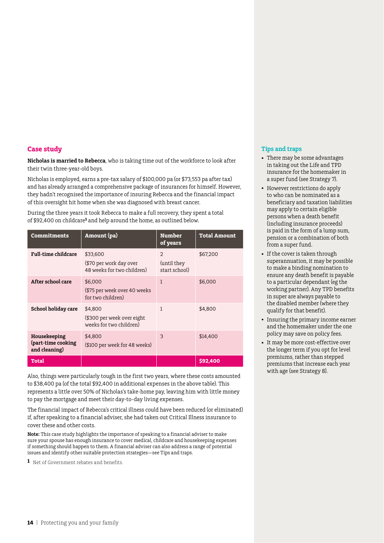#### **Case study**

**Nicholas is married to Rebecca**, who is taking time out of the workforce to look after their twin three-year-old boys.

Nicholas is employed, earns a pre-tax salary of \$100,000 pa (or \$73,553 pa after tax) and has already arranged a comprehensive package of insurances for himself. However, they hadn't recognised the importance of insuring Rebecca and the financial impact of this oversight hit home when she was diagnosed with breast cancer.

During the three years it took Rebecca to make a full recovery, they spent a total of \$92,400 on childcare<sup>1</sup> and help around the home, as outlined below.

| <b>Commitments</b>                                  | Amount (pa)                                                       | <b>Number</b><br>of years                      | <b>Total Amount</b> |
|-----------------------------------------------------|-------------------------------------------------------------------|------------------------------------------------|---------------------|
| <b>Full-time childcare</b>                          | \$33,600<br>(\$70 per work day over<br>48 weeks for two children) | $\overline{2}$<br>(until they<br>start school) | \$67,200            |
| After school care                                   | \$6,000<br>(\$75 per week over 40 weeks<br>for two children)      | 1                                              | \$6,000             |
| School holiday care                                 | \$4,800<br>(\$300 per week over eight)<br>weeks for two children) | 1                                              | \$4,800             |
| Housekeeping<br>(part-time cooking<br>and cleaning) | \$4,800<br>(\$100 per week for 48 weeks)                          | 3                                              | \$14,400            |
| <b>Total</b>                                        |                                                                   |                                                | \$92,400            |

Also, things were particularly tough in the first two years, where these costs amounted to \$38,400 pa (of the total \$92,400 in additional expenses in the above table). This represents a little over 50% of Nicholas's take-home pay, leaving him with little money to pay the mortgage and meet their day-to-day living expenses.

The financial impact of Rebecca's critical illness could have been reduced (or eliminated) if, after speaking to a financial adviser, she had taken out Critical Illness insurance to cover these and other costs.

**Note:** This case study highlights the importance of speaking to a financial adviser to make sure your spouse has enough insurance to cover medical, childcare and housekeeping expenses if something should happen to them. A financial adviser can also address a range of potential issues and identify other suitable protection strategies—see Tips and traps.

**1** Net of Government rebates and benefits.

- There may be some advantages in taking out the Life and TPD insurance for the homemaker in a super fund (see Strategy 7).
- However restrictions do apply to who can be nominated as a beneficiary and taxation liabilities may apply to certain eligible persons when a death benefit (including insurance proceeds) is paid in the form of a lump sum, pension or a combination of both from a super fund.
- If the cover is taken through superannuation, it may be possible to make a binding nomination to ensure any death benefit is payable to a particular dependant (eg the working partner). Any TPD benefits in super are always payable to the disabled member (where they qualify for that benefit).
- Insuring the primary income earner and the homemaker under the one policy may save on policy fees.
- It may be more cost-effective over the longer term if you opt for level premiums, rather than stepped premiums that increase each year with age (see Strategy 8).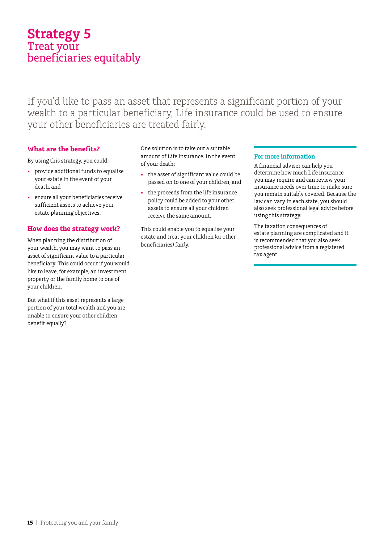## **Strategy 5** Treat your beneficiaries equitably

If you'd like to pass an asset that represents a significant portion of your wealth to a particular beneficiary, Life insurance could be used to ensure your other beneficiaries are treated fairly.

#### **What are the benefits?**

By using this strategy, you could:

- • provide additional funds to equalise your estate in the event of your death, and
- ensure all your beneficiaries receive sufficient assets to achieve your estate planning objectives.

#### **How does the strategy work?**

When planning the distribution of your wealth, you may want to pass an asset of significant value to a particular beneficiary. This could occur if you would like to leave, for example, an investment property or the family home to one of your children.

But what if this asset represents a large portion of your total wealth and you are unable to ensure your other children benefit equally?

One solution is to take out a suitable amount of Life insurance. In the event of your death:

- the asset of significant value could be passed on to one of your children, and
- • the proceeds from the life insurance policy could be added to your other assets to ensure all your children receive the same amount.

This could enable you to equalise your estate and treat your children (or other beneficiaries) fairly.

#### **For more information**

A financial adviser can help you determine how much Life insurance you may require and can review your insurance needs over time to make sure you remain suitably covered. Because the law can vary in each state, you should also seek professional legal advice before using this strategy.

The taxation consequences of estate planning are complicated and it is recommended that you also seek professional advice from a registered tax agent.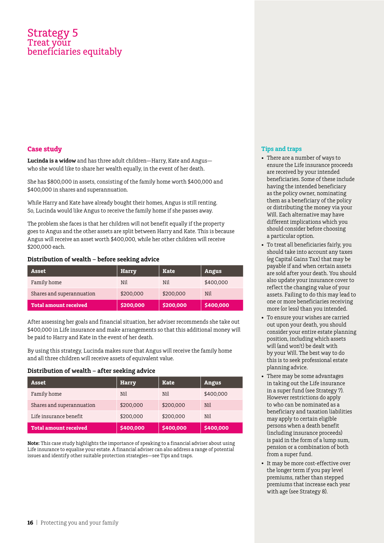### Strategy 5 Treat your beneficiaries equitably

#### **Case study**

**Lucinda is a widow** and has three adult children—Harry, Kate and Angus who she would like to share her wealth equally, in the event of her death.

She has \$800,000 in assets, consisting of the family home worth \$400,000 and \$400,000 in shares and superannuation.

While Harry and Kate have already bought their homes, Angus is still renting. So, Lucinda would like Angus to receive the family home if she passes away.

The problem she faces is that her children will not benefit equally if the property goes to Angus and the other assets are split between Harry and Kate. This is because Angus will receive an asset worth \$400,000, while her other children will receive \$200,000 each.

#### **Distribution of wealth – before seeking advice**

| Asset                        | <b>Harry</b> | Kate      | Angus     |
|------------------------------|--------------|-----------|-----------|
| Family home                  | Nil          | Nil       | \$400,000 |
| Shares and superannuation    | \$200,000    | \$200,000 | Nil       |
| <b>Total amount received</b> | \$200,000    | \$200,000 | \$400,000 |

After assessing her goals and financial situation, her adviser recommends she take out \$400,000 in Life insurance and make arrangements so that this additional money will be paid to Harry and Kate in the event of her death.

By using this strategy, Lucinda makes sure that Angus will receive the family home and all three children will receive assets of equivalent value.

#### **Distribution of wealth – after seeking advice**

| Asset                        | <b>Harry</b> | <b>Kate</b> | <b>Angus</b> |
|------------------------------|--------------|-------------|--------------|
| Family home                  | Nil          | Nil         | \$400,000    |
| Shares and superannuation    | \$200,000    | \$200,000   | Nil          |
| Life insurance benefit       | \$200,000    | \$200,000   | Nil          |
| <b>Total amount received</b> | \$400,000    | \$400,000   | \$400,000    |

**Note:** This case study highlights the importance of speaking to a financial adviser about using Life insurance to equalise your estate. A financial adviser can also address a range of potential issues and identify other suitable protection strategies—see Tips and traps.

- • There are a number of ways to ensure the Life insurance proceeds are received by your intended beneficiaries. Some of these include having the intended beneficiary as the policy owner, nominating them as a beneficiary of the policy or distributing the money via your Will. Each alternative may have different implications which you should consider before choosing a particular option.
- • To treat all beneficiaries fairly, you should take into account any taxes (eg Capital Gains Tax) that may be payable if and when certain assets are sold after your death. You should also update your insurance cover to reflect the changing value of your assets. Failing to do this may lead to one or more beneficiaries receiving more (or less) than you intended.
- • To ensure your wishes are carried out upon your death, you should consider your entire estate planning position, including which assets will (and won't) be dealt with by your Will. The best way to do this is to seek professional estate planning advice.
- There may be some advantages in taking out the Life insurance in a super fund (see Strategy 7). However restrictions do apply to who can be nominated as a beneficiary and taxation liabilities may apply to certain eligible persons when a death benefit (including insurance proceeds) is paid in the form of a lump sum, pension or a combination of both from a super fund.
- It may be more cost-effective over the longer term if you pay level premiums, rather than stepped premiums that increase each year with age (see Strategy 8).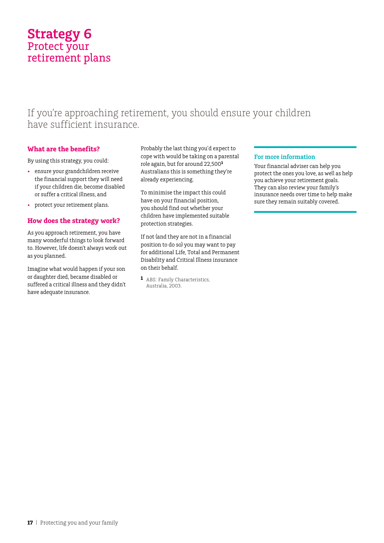## **Strategy 6** Protect your retirement plans

### If you're approaching retirement, you should ensure your children have sufficient insurance.

#### **What are the benefits?**

By using this strategy, you could:

- • ensure your grandchildren receive the financial support they will need if your children die, become disabled or suffer a critical illness, and
- protect your retirement plans.

#### **How does the strategy work?**

As you approach retirement, you have many wonderful things to look forward to. However, life doesn't always work out as you planned.

Imagine what would happen if your son or daughter died, became disabled or suffered a critical illness and they didn't have adequate insurance.

Probably the last thing you'd expect to cope with would be taking on a parental role again, but for around 22,500**<sup>1</sup>** Australians this is something they're already experiencing.

To minimise the impact this could have on your financial position, you should find out whether your children have implemented suitable protection strategies.

If not (and they are not in a financial position to do so) you may want to pay for additional Life, Total and Permanent Disability and Critical Illness insurance on their behalf.

**1** ABS: Family Characteristics, Australia, 2003.

#### **For more information**

Your financial adviser can help you protect the ones you love, as well as help you achieve your retirement goals. They can also review your family's insurance needs over time to help make sure they remain suitably covered.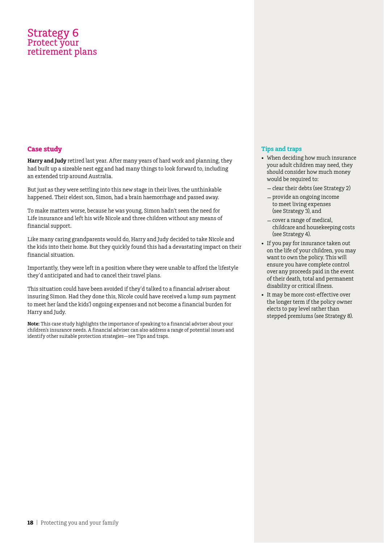### Strategy 6 Protect your retirement plans

#### **Case study**

**Harry and Judy** retired last year. After many years of hard work and planning, they had built up a sizeable nest egg and had many things to look forward to, including an extended trip around Australia.

But just as they were settling into this new stage in their lives, the unthinkable happened. Their eldest son, Simon, had a brain haemorrhage and passed away.

To make matters worse, because he was young, Simon hadn't seen the need for Life insurance and left his wife Nicole and three children without any means of financial support.

Like many caring grandparents would do, Harry and Judy decided to take Nicole and the kids into their home. But they quickly found this had a devastating impact on their financial situation.

Importantly, they were left in a position where they were unable to afford the lifestyle they'd anticipated and had to cancel their travel plans.

This situation could have been avoided if they'd talked to a financial adviser about insuring Simon. Had they done this, Nicole could have received a lump sum payment to meet her (and the kids') ongoing expenses and not become a financial burden for Harry and Judy.

**Note:** This case study highlights the importance of speaking to a financial adviser about your children's insurance needs. A financial adviser can also address a range of potential issues and identify other suitable protection strategies—see Tips and traps.

- When deciding how much insurance your adult children may need, they should consider how much money would be required to:
	- –clear their debts (see Strategy 2)
	- –provide an ongoing income to meet living expenses (see Strategy 3), and
	- –cover a range of medical, childcare and housekeeping costs (see Strategy 4).
- If you pay for insurance taken out on the life of your children, you may want to own the policy. This will ensure you have complete control over any proceeds paid in the event of their death, total and permanent disability or critical illness.
- It may be more cost-effective over the longer term if the policy owner elects to pay level rather than stepped premiums (see Strategy 8).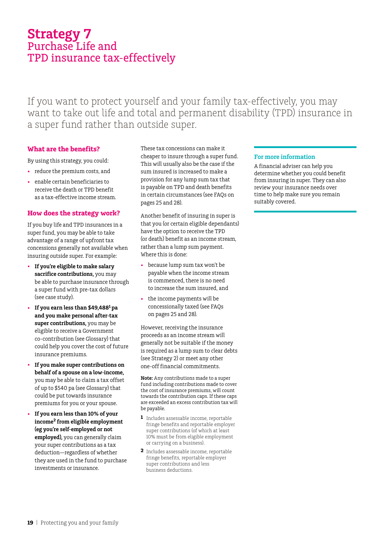### **Strategy 7** Purchase Life and TPD insurance tax-effectively

If you want to protect yourself and your family tax-effectively, you may want to take out life and total and permanent disability (TPD) insurance in a super fund rather than outside super.

#### **What are the benefits?**

By using this strategy, you could:

- • reduce the premium costs, and
- enable certain beneficiaries to receive the death or TPD benefit as a tax-effective income stream.

#### **How does the strategy work?**

If you buy life and TPD insurances in a super fund, you may be able to take advantage of a range of upfront tax concessions generally not available when insuring outside super. For example:

- If you're eligible to make salary **sacrifice contributions,** you may be able to purchase insurance through a super fund with pre-tax dollars (see case study).
- • **If you earn less than \$49,4881 pa and you make personal after-tax super contributions,** you may be eligible to receive a Government co-contribution (see Glossary) that could help you cover the cost of future insurance premiums.
- If you make super contributions on **behalf of a spouse on a low‑income,**  you may be able to claim a tax offset of up to \$540 pa (see Glossary) that could be put towards insurance premiums for you or your spouse.
- If you earn less than 10% of your **income<sup>2</sup> from eligible employment (eg you're self‑employed or not employed),** you can generally claim your super contributions as a tax deduction—regardless of whether they are used in the fund to purchase investments or insurance.

These tax concessions can make it cheaper to insure through a super fund. This will usually also be the case if the sum insured is increased to make a provision for any lump sum tax that is payable on TPD and death benefits in certain circumstances (see FAQs on pages 25 and 28).

Another benefit of insuring in super is that you (or certain eligible dependants) have the option to receive the TPD (or death) benefit as an income stream, rather than a lump sum payment. Where this is done:

- • because lump sum tax won't be payable when the income stream is commenced, there is no need to increase the sum insured, and
- the income payments will be concessionally taxed (see FAQs on pages 25 and 28).

However, receiving the insurance proceeds as an income stream will generally not be suitable if the money is required as a lump sum to clear debts (see Strategy 2) or meet any other one-off financial commitments.

**Note:** Any contributions made to a super fund including contributions made to cover the cost of insurance premiums, will count towards the contribution caps. If these caps are exceeded an excess contribution tax will be payable.

- **1** Includes assessable income, reportable fringe benefits and reportable employer super contributions (of which at least 10% must be from eligible employment or carrying on a business).
- **2** Includes assessable income, reportable fringe benefits, reportable employer super contributions and less business deductions.

#### **For more information**

A financial adviser can help you determine whether you could benefit from insuring in super. They can also review your insurance needs over time to help make sure you remain suitably covered.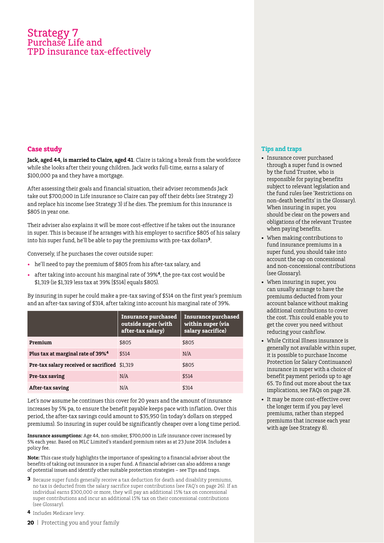### Strategy 7 Purchase Life and TPD insurance tax-effectively

#### **Case study**

**Jack, aged 44, is married to Claire, aged 41**. Claire is taking a break from the workforce while she looks after their young children. Jack works full-time, earns a salary of \$100,000 pa and they have a mortgage.

After assessing their goals and financial situation, their adviser recommends Jack take out \$700,000 in Life insurance so Claire can pay off their debts (see Strategy 2) and replace his income (see Strategy 3) if he dies. The premium for this insurance is \$805 in year one.

Their adviser also explains it will be more cost-effective if he takes out the insurance in super. This is because if he arranges with his employer to sacrifice \$805 of his salary into his super fund, he'll be able to pay the premiums with pre-tax dollars**3**.

Conversely, if he purchases the cover outside super:

- he'll need to pay the premium of \$805 from his after-tax salary, and
- after taking into account his marginal rate of 39%<sup>4</sup>, the pre-tax cost would be \$1,319 (ie \$1,319 less tax at 39% [\$514] equals \$805).

By insuring in super he could make a pre-tax saving of \$514 on the first year's premium and an after-tax saving of \$314, after taking into account his marginal rate of 39%.

|                                               | Insurance purchased<br>outside super (with<br>after-tax salary) | Insurance purchased<br>within super (via<br>salary sacrifice) |
|-----------------------------------------------|-----------------------------------------------------------------|---------------------------------------------------------------|
| Premium                                       | \$805                                                           | \$805                                                         |
| Plus tax at marginal rate of 39% <sup>4</sup> | \$514                                                           | N/A                                                           |
| Pre-tax salary received or sacrificed \$1,319 |                                                                 | \$805                                                         |
| Pre-tax saving                                | N/A                                                             | \$514                                                         |
| After-tax saving                              | N/A                                                             | \$314                                                         |

Let's now assume he continues this cover for 20 years and the amount of insurance increases by 5% pa, to ensure the benefit payable keeps pace with inflation. Over this period, the after-tax savings could amount to \$35,950 (in today's dollars on stepped premiums). So insuring in super could be significantly cheaper over a long time period.

**Insurance assumptions:** Age 44, non-smoker, \$700,000 in Life insurance cover increased by 5% each year. Based on MLC Limited's standard premium rates as at 23 June 2014. Includes a policy fee.

**Note:** This case study highlights the importance of speaking to a financial adviser about the benefits of taking out insurance in a super fund. A financial adviser can also address a range of potential issues and identify other suitable protection strategies – see Tips and traps.

- **3** Because super funds generally receive a tax deduction for death and disability premiums, no tax is deducted from the salary sacrifice super contributions (see FAQ's on page 26). If an individual earns \$300,000 or more, they will pay an additional 15% tax on concessional super contributions and incur an additional 15% tax on their concessional contributions (see Glossary).
- **4** Includes Medicare levy.
- **20** | Protecting you and your family

- • Insurance cover purchased through a super fund is owned by the fund Trustee, who is responsible for paying benefits subject to relevant legislation and the fund rules (see 'Restrictions on non-death benefits' in the Glossary). When insuring in super, you should be clear on the powers and obligations of the relevant Trustee when paying benefits.
- • When making contributions to fund insurance premiums in a super fund, you should take into account the cap on concessional and non-concessional contributions (see Glossary).
- When insuring in super, you can usually arrange to have the premiums deducted from your account balance without making additional contributions to cover the cost. This could enable you to get the cover you need without reducing your cashflow.
- • While Critical Illness insurance is generally not available within super, it is possible to purchase Income Protection (or Salary Continuance) insurance in super with a choice of benefit payment periods up to age 65. To find out more about the tax implications, see FAQs on page 28.
- It may be more cost-effective over the longer term if you pay level premiums, rather than stepped premiums that increase each year with age (see Strategy 8).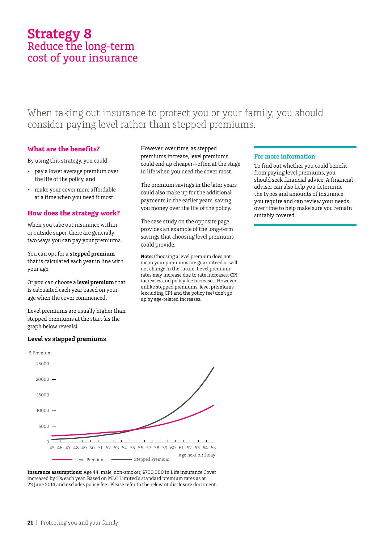## **Strategy 8** Reduce the long-term cost of your insurance

### When taking out insurance to protect you or your family, you should consider paying level rather than stepped premiums.

#### **What are the benefits?**

By using this strategy, you could:

- • pay a lower average premium over the life of the policy, and
- make your cover more affordable at a time when you need it most.

#### **How does the strategy work?**

When you take out insurance within or outside super, there are generally two ways you can pay your premiums.

You can opt for a **stepped premium** that is calculated each year in line with your age.

Or you can choose a **level premium** that is calculated each year based on your age when the cover commenced.

Level premiums are usually higher than stepped premiums at the start (as the graph below reveals).

#### **Level vs stepped premiums**



**Insurance assumptions:** Age 44, male, non-smoker, \$700,000 in Life insurance Cover increased by 5% each year. Based on MLC Limited's standard premium rates as at 23 June 2014 and excludes policy fee . Please refer to the relevant disclosure document.

However, over time, as stepped premiums increase, level premiums could end up cheaper—often at the stage in life when you need the cover most.

The premium savings in the later years could also make up for the additional payments in the earlier years, saving you money over the life of the policy.

The case study on the opposite page provides an example of the long-term savings that choosing level premiums could provide.

**Note:** Choosing a level premium does not mean your premiums are guaranteed or will not change in the future. Level premium rates may increase due to rate increases, CPI increases and policy fee increases. However, unlike stepped premiums, level premiums (excluding CPI and the policy fee) don't go up by age-related increases.

#### **For more information**

To find out whether you could benefit from paying level premiums, you should seek financial advice. A financial adviser can also help you determine the types and amounts of insurance you require and can review your needs over time to help make sure you remain suitably covered.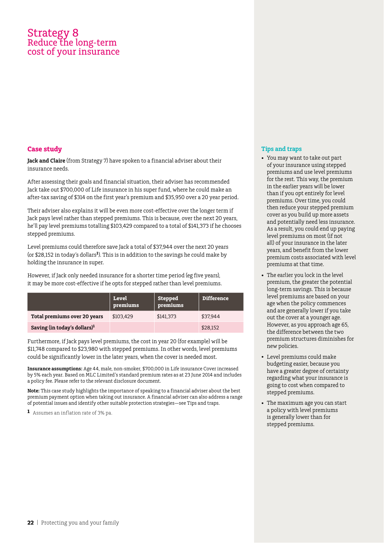### Strategy 8 Reduce the long-term cost of your insurance

#### **Case study**

**Jack and Claire** (from Strategy 7) have spoken to a financial adviser about their insurance needs.

After assessing their goals and financial situation, their adviser has recommended Jack take out \$700,000 of Life insurance in his super fund, where he could make an after-tax saving of \$314 on the first year's premium and \$35,950 over a 20 year period.

Their adviser also explains it will be even more cost-effective over the longer term if Jack pays level rather than stepped premiums. This is because, over the next 20 years, he'll pay level premiums totalling \$103,429 compared to a total of \$141,373 if he chooses stepped premiums.

Level premiums could therefore save Jack a total of \$37,944 over the next 20 years (or \$28,152 in today's dollars**<sup>1</sup>** ). This is in addition to the savings he could make by holding the insurance in super.

However, if Jack only needed insurance for a shorter time period (eg five years), it may be more cost-effective if he opts for stepped rather than level premiums.

|                                          | Level<br>premiums | Stepped<br>premiums | <b>Difference</b> |
|------------------------------------------|-------------------|---------------------|-------------------|
| Total premiums over 20 years             | \$103.429         | \$141,373           | \$37.944          |
| Saving (in today's dollars) <sup>1</sup> |                   |                     | \$28,152          |

Furthermore, if Jack pays level premiums, the cost in year 20 (for example) will be \$11,748 compared to \$23,980 with stepped premiums. In other words, level premiums could be significantly lower in the later years, when the cover is needed most.

**Insurance assumptions:** Age 44, male, non-smoker, \$700,000 in Life insurance Cover increased by 5% each year. Based on MLC Limited's standard premium rates as at 23 June 2014 and includes a policy fee. Please refer to the relevant disclosure document.

**Note:** This case study highlights the importance of speaking to a financial adviser about the best premium payment option when taking out insurance. A financial adviser can also address a range of potential issues and identify other suitable protection strategies—see Tips and traps.

**1** Assumes an inflation rate of 3% pa.

- • You may want to take out part of your insurance using stepped premiums and use level premiums for the rest. This way, the premium in the earlier years will be lower than if you opt entirely for level premiums. Over time, you could then reduce your stepped premium cover as you build up more assets and potentially need less insurance. As a result, you could end up paying level premiums on most (if not all) of your insurance in the later years, and benefit from the lower premium costs associated with level premiums at that time.
- The earlier you lock in the level premium, the greater the potential long-term savings. This is because level premiums are based on your age when the policy commences and are generally lower if you take out the cover at a younger age. However, as you approach age 65, the difference between the two premium structures diminishes for new policies.
- • Level premiums could make budgeting easier, because you have a greater degree of certainty regarding what your insurance is going to cost when compared to stepped premiums.
- The maximum age you can start a policy with level premiums is generally lower than for stepped premiums.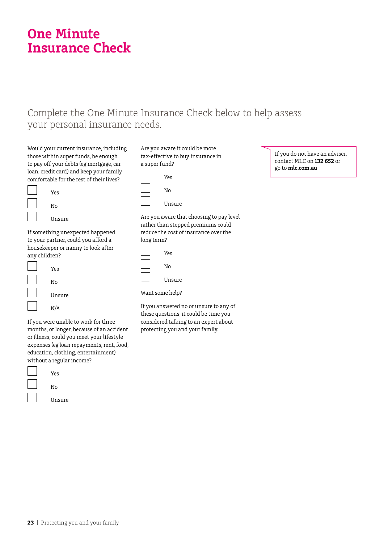## **One Minute Insurance Check**

### Complete the One Minute Insurance Check below to help assess your personal insurance needs.

Would your current insurance, including those within super funds, be enough to pay off your debts (eg mortgage, car loan, credit card) and keep your family comfortable for the rest of their lives?

| Yes    |
|--------|
| No     |
| Unsure |

If something unexpected happened to your partner, could you afford a housekeeper or nanny to look after any children?

| Yes    |
|--------|
| No     |
| Unsure |
| N/A    |

If you were unable to work for three months, or longer, because of an accident or illness, could you meet your lifestyle expenses (eg loan repayments, rent, food, education, clothing, entertainment) without a regular income?



Are you aware it could be more tax-effective to buy insurance in a super fund?



Are you aware that choosing to pay level rather than stepped premiums could reduce the cost of insurance over the long term?

| Yes    |
|--------|
| Νo     |
| Unsure |

 $\overline{\phantom{a}}$ 

#### Want some help?

If you answered no or unsure to any of these questions, it could be time you considered talking to an expert about protecting you and your family.

If you do not have an adviser, contact MLC on **132 652** or go to **mlc.com.au**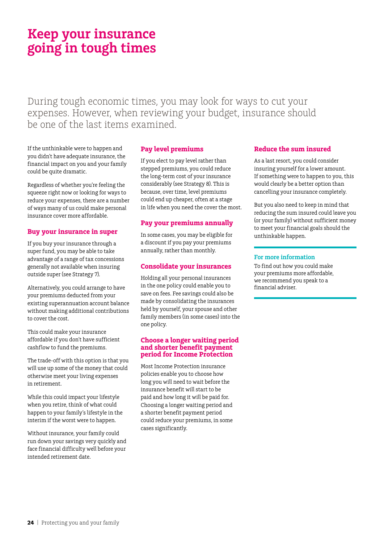## **Keep your insurance going in tough times**

During tough economic times, you may look for ways to cut your expenses. However, when reviewing your budget, insurance should be one of the last items examined.

If the unthinkable were to happen and you didn't have adequate insurance, the financial impact on you and your family could be quite dramatic.

Regardless of whether you're feeling the squeeze right now or looking for ways to reduce your expenses, there are a number of ways many of us could make personal insurance cover more affordable.

#### **Buy your insurance in super**

If you buy your insurance through a super fund, you may be able to take advantage of a range of tax concessions generally not available when insuring outside super (see Strategy 7).

Alternatively, you could arrange to have your premiums deducted from your existing superannuation account balance without making additional contributions to cover the cost.

This could make your insurance affordable if you don't have sufficient cashflow to fund the premiums.

The trade-off with this option is that you will use up some of the money that could otherwise meet your living expenses in retirement.

While this could impact your lifestyle when you retire, think of what could happen to your family's lifestyle in the interim if the worst were to happen.

Without insurance, your family could run down your savings very quickly and face financial difficulty well before your intended retirement date.

#### **Pay level premiums**

If you elect to pay level rather than stepped premiums, you could reduce the long-term cost of your insurance considerably (see Strategy 8). This is because, over time, level premiums could end up cheaper, often at a stage in life when you need the cover the most.

#### **Pay your premiums annually**

In some cases, you may be eligible for a discount if you pay your premiums annually, rather than monthly.

#### **Consolidate your insurances**

Holding all your personal insurances in the one policy could enable you to save on fees. Fee savings could also be made by consolidating the insurances held by yourself, your spouse and other family members (in some cases) into the one policy.

#### **Choose a longer waiting period and shorter benefit payment period for Income Protection**

Most Income Protection insurance policies enable you to choose how long you will need to wait before the insurance benefit will start to be paid and how long it will be paid for. Choosing a longer waiting period and a shorter benefit payment period could reduce your premiums, in some cases significantly.

#### **Reduce the sum insured**

As a last resort, you could consider insuring yourself for a lower amount. If something were to happen to you, this would clearly be a better option than cancelling your insurance completely.

But you also need to keep in mind that reducing the sum insured could leave you (or your family) without sufficient money to meet your financial goals should the unthinkable happen.

#### **For more information**

To find out how you could make your premiums more affordable, we recommend you speak to a financial adviser.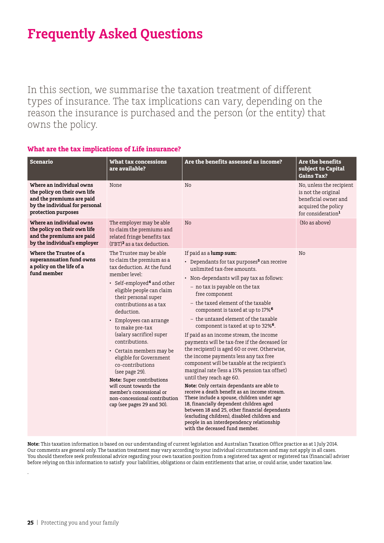In this section, we summarise the taxation treatment of different types of insurance. The tax implications can vary, depending on the reason the insurance is purchased and the person (or the entity) that owns the policy.

#### **What are the tax implications of Life insurance?**

| Scenario                                                                                                                                       | <b>What tax concessions</b><br>are available?                                                                                                                                                                                                                                                                                                                                                                                                                                                                                                                                         | Are the benefits assessed as income?                                                                                                                                                                                                                                                                                                                                                                                                                                                                                                                                                                                                                                                                                                                                                                                                                                                                                                                                                                                                                                                     | <b>Are the benefits</b><br>subject to Capital<br><b>Gains Tax?</b>                                                               |
|------------------------------------------------------------------------------------------------------------------------------------------------|---------------------------------------------------------------------------------------------------------------------------------------------------------------------------------------------------------------------------------------------------------------------------------------------------------------------------------------------------------------------------------------------------------------------------------------------------------------------------------------------------------------------------------------------------------------------------------------|------------------------------------------------------------------------------------------------------------------------------------------------------------------------------------------------------------------------------------------------------------------------------------------------------------------------------------------------------------------------------------------------------------------------------------------------------------------------------------------------------------------------------------------------------------------------------------------------------------------------------------------------------------------------------------------------------------------------------------------------------------------------------------------------------------------------------------------------------------------------------------------------------------------------------------------------------------------------------------------------------------------------------------------------------------------------------------------|----------------------------------------------------------------------------------------------------------------------------------|
| Where an individual owns<br>the policy on their own life<br>and the premiums are paid<br>by the individual for personal<br>protection purposes | None                                                                                                                                                                                                                                                                                                                                                                                                                                                                                                                                                                                  | N <sub>o</sub>                                                                                                                                                                                                                                                                                                                                                                                                                                                                                                                                                                                                                                                                                                                                                                                                                                                                                                                                                                                                                                                                           | No, unless the recipient<br>is not the original<br>beneficial owner and<br>acquired the policy<br>for consideration <sup>1</sup> |
| Where an individual owns<br>the policy on their own life<br>and the premiums are paid<br>by the individual's employer                          | The employer may be able<br>to claim the premiums and<br>related fringe benefits tax<br>(FBT) <sup>2</sup> as a tax deduction.                                                                                                                                                                                                                                                                                                                                                                                                                                                        | N <sub>o</sub>                                                                                                                                                                                                                                                                                                                                                                                                                                                                                                                                                                                                                                                                                                                                                                                                                                                                                                                                                                                                                                                                           | (No as above)                                                                                                                    |
| Where the Trustee of a<br>superannuation fund owns<br>a policy on the life of a<br>fund member                                                 | The Trustee may be able<br>to claim the premium as a<br>tax deduction. At the fund<br>member level:<br>• Self-employed <sup>4</sup> and other<br>eligible people can claim<br>their personal super<br>contributions as a tax<br>deduction.<br>• Employees can arrange<br>to make pre-tax<br>(salary sacrifice) super<br>contributions.<br>• Certain members may be<br>eligible for Government<br>co-contributions<br>(see page 29).<br>Note: Super contributions<br>will count towards the<br>member's concessional or<br>non-concessional contribution<br>cap (see pages 29 and 30). | If paid as a lump sum:<br>• Dependants for tax purposes <sup>5</sup> can receive<br>unlimited tax-free amounts.<br>• Non-dependants will pay tax as follows:<br>- no tax is payable on the tax<br>free component<br>- the taxed element of the taxable<br>component is taxed at up to 17% <sup>6</sup><br>- the untaxed element of the taxable<br>component is taxed at up to 32% <sup>6</sup> .<br>If paid as an income stream, the income<br>payments will be tax-free if the deceased (or<br>the recipient) is aged 60 or over. Otherwise,<br>the income payments less any tax free<br>component will be taxable at the recipient's<br>marginal rate (less a 15% pension tax offset)<br>until they reach age 60.<br>Note: Only certain dependants are able to<br>receive a death benefit as an income stream.<br>These include a spouse, children under age<br>18, financially dependent children aged<br>between 18 and 25, other financial dependants<br>(excluding children), disabled children and<br>people in an interdependency relationship<br>with the deceased fund member. | No                                                                                                                               |

**Note:** This taxation information is based on our understanding of current legislation and Australian Taxation Office practice as at 1 July 2014. Our comments are general only. The taxation treatment may vary according to your individual circumstances and may not apply in all cases. You should therefore seek professional advice regarding your own taxation position from a registered tax agent or registered tax (financial) adviser before relying on this information to satisfy your liabilities, obligations or claim entitlements that arise, or could arise, under taxation law.

.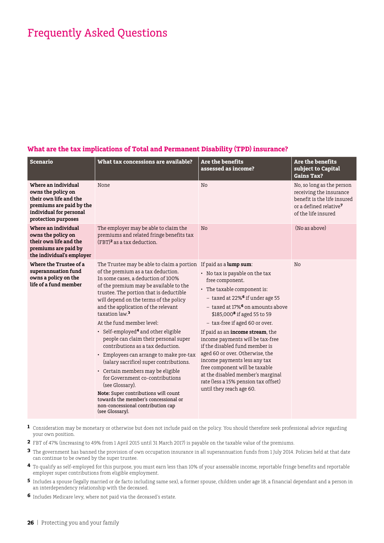#### **What are the tax implications of Total and Permanent Disability (TPD) insurance?**

| <b>Scenario</b>                                                                                                                                   | What tax concessions are available?                                                                                                                                                                                                                                                                                                                                                                                                                                                                                                                                                                                                                                                                                                                                                                               | <b>Are the benefits</b><br>assessed as income?                                                                                                                                                                                                                                                                                                                                                                                                                                                                                                                                                                               | Are the benefits<br>subject to Capital<br><b>Gains Tax?</b>                                                                                      |
|---------------------------------------------------------------------------------------------------------------------------------------------------|-------------------------------------------------------------------------------------------------------------------------------------------------------------------------------------------------------------------------------------------------------------------------------------------------------------------------------------------------------------------------------------------------------------------------------------------------------------------------------------------------------------------------------------------------------------------------------------------------------------------------------------------------------------------------------------------------------------------------------------------------------------------------------------------------------------------|------------------------------------------------------------------------------------------------------------------------------------------------------------------------------------------------------------------------------------------------------------------------------------------------------------------------------------------------------------------------------------------------------------------------------------------------------------------------------------------------------------------------------------------------------------------------------------------------------------------------------|--------------------------------------------------------------------------------------------------------------------------------------------------|
| Where an individual<br>owns the policy on<br>their own life and the<br>premiums are paid by the<br>individual for personal<br>protection purposes | None                                                                                                                                                                                                                                                                                                                                                                                                                                                                                                                                                                                                                                                                                                                                                                                                              | No                                                                                                                                                                                                                                                                                                                                                                                                                                                                                                                                                                                                                           | No, so long as the person<br>receiving the insurance<br>benefit is the life insured<br>or a defined relative <sup>7</sup><br>of the life insured |
| Where an individual<br>owns the policy on<br>their own life and the<br>premiums are paid by<br>the individual's employer                          | The employer may be able to claim the<br>premiums and related fringe benefits tax<br>(FBT) <sup>2</sup> as a tax deduction.                                                                                                                                                                                                                                                                                                                                                                                                                                                                                                                                                                                                                                                                                       | N <sub>o</sub>                                                                                                                                                                                                                                                                                                                                                                                                                                                                                                                                                                                                               | (No as above)                                                                                                                                    |
| Where the Trustee of a<br>superannuation fund<br>owns a policy on the<br>life of a fund member                                                    | The Trustee may be able to claim a portion<br>of the premium as a tax deduction.<br>In some cases, a deduction of 100%<br>of the premium may be available to the<br>trustee. The portion that is deductible<br>will depend on the terms of the policy<br>and the application of the relevant<br>taxation law. <sup>3</sup><br>At the fund member level:<br>• Self-employed <sup>4</sup> and other eligible<br>people can claim their personal super<br>contributions as a tax deduction.<br>• Employees can arrange to make pre-tax<br>(salary sacrifice) super contributions.<br>• Certain members may be eligible<br>for Government co-contributions<br>(see Glossary).<br>Note: Super contributions will count<br>towards the member's concessional or<br>non-concessional contribution cap<br>(see Glossary). | If paid as a <b>lump sum</b> :<br>$\cdot$ No tax is payable on the tax<br>free component.<br>• The taxable component is:<br>- taxed at 22% <sup>6</sup> if under age 55<br>- taxed at 17% <sup>6</sup> on amounts above<br>\$185,000 <sup>8</sup> if aged 55 to 59<br>- tax-free if aged 60 or over.<br>If paid as an income stream, the<br>income payments will be tax-free<br>if the disabled fund member is<br>aged 60 or over. Otherwise, the<br>income payments less any tax<br>free component will be taxable<br>at the disabled member's marginal<br>rate (less a 15% pension tax offset)<br>until they reach age 60. | No                                                                                                                                               |

- **1** Consideration may be monetary or otherwise but does not include paid on the policy. You should therefore seek professional advice regarding your own position.
- **2** FBT of 47% (increasing to 49% from 1 April 2015 until 31 March 2017) is payable on the taxable value of the premiums.
- **3** The government has banned the provision of own occupation insurance in all superannuation funds from 1 July 2014. Policies held at that date can continue to be owned by the super trustee.
- **4** To qualify as self-employed for this purpose, you must earn less than 10% of your assessable income, reportable fringe benefits and reportable employer super contributions from eligible employment.
- **5** Includes a spouse (legally married or de facto including same sex), a former spouse, children under age 18, a financial dependant and a person in an interdependency relationship with the deceased.
- **6** Includes Medicare levy, where not paid via the deceased's estate.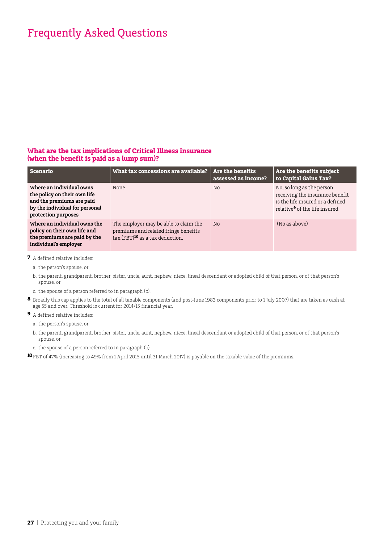#### **What are the tax implications of Critical Illness insurance (when the benefit is paid as a lump sum)?**

| <b>Scenario</b>                                                                                                                                | What tax concessions are available?                                                                                          | Are the benefits<br>assessed as income? | Are the benefits subject<br>to Capital Gains Tax?                                                                                             |
|------------------------------------------------------------------------------------------------------------------------------------------------|------------------------------------------------------------------------------------------------------------------------------|-----------------------------------------|-----------------------------------------------------------------------------------------------------------------------------------------------|
| Where an individual owns<br>the policy on their own life<br>and the premiums are paid<br>by the individual for personal<br>protection purposes | None                                                                                                                         | No                                      | No, so long as the person<br>receiving the insurance benefit<br>is the life insured or a defined<br>relative <sup>9</sup> of the life insured |
| Where an individual owns the<br>policy on their own life and<br>the premiums are paid by the<br>individual's employer                          | The employer may be able to claim the<br>premiums and related fringe benefits<br>tax (FBT) <sup>10</sup> as a tax deduction. | N <sub>o</sub>                          | (No as above)                                                                                                                                 |

**7** A defined relative includes:

a. the person's spouse, or

- b. the parent, grandparent, brother, sister, uncle, aunt, nephew, niece, lineal descendant or adopted child of that person, or of that person's spouse, or
- c. the spouse of a person referred to in paragraph (b).
- **8** Broadly this cap applies to the total of all taxable components (and post-June 1983 components prior to 1 July 2007) that are taken as cash at age 55 and over. Threshold is current for 2014/15 financial year.
- **9** A defined relative includes:
	- a. the person's spouse, or
	- b. the parent, grandparent, brother, sister, uncle, aunt, nephew, niece, lineal descendant or adopted child of that person, or of that person's spouse, or
	- c. the spouse of a person referred to in paragraph (b).

**10**FBT of 47% (increasing to 49% from 1 April 2015 until 31 March 2017) is payable on the taxable value of the premiums.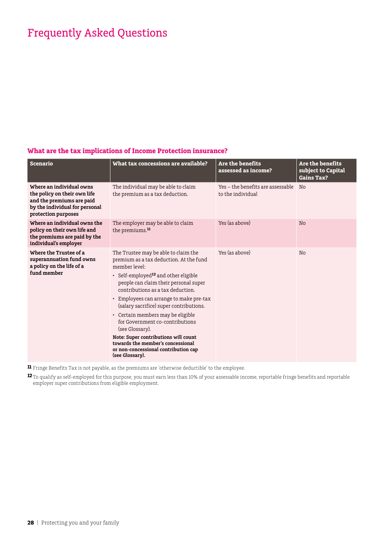#### **What are the tax implications of Income Protection insurance?**

| <b>Scenario</b>                                                                                                                                | What tax concessions are available?                                                                                                                                                                                                                                                                                                                                                                                                                                                                                                                         | <b>Are the benefits</b><br>assessed as income?         | Are the benefits<br>subject to Capital<br><b>Gains Tax?</b> |
|------------------------------------------------------------------------------------------------------------------------------------------------|-------------------------------------------------------------------------------------------------------------------------------------------------------------------------------------------------------------------------------------------------------------------------------------------------------------------------------------------------------------------------------------------------------------------------------------------------------------------------------------------------------------------------------------------------------------|--------------------------------------------------------|-------------------------------------------------------------|
| Where an individual owns<br>the policy on their own life<br>and the premiums are paid<br>by the individual for personal<br>protection purposes | The individual may be able to claim<br>the premium as a tax deduction.                                                                                                                                                                                                                                                                                                                                                                                                                                                                                      | Yes – the benefits are assessable<br>to the individual | No                                                          |
| Where an individual owns the<br>policy on their own life and<br>the premiums are paid by the<br>individual's employer                          | The employer may be able to claim<br>the premiums. <sup>11</sup>                                                                                                                                                                                                                                                                                                                                                                                                                                                                                            | Yes (as above)                                         | No                                                          |
| Where the Trustee of a<br>superannuation fund owns<br>a policy on the life of a<br>fund member                                                 | The Trustee may be able to claim the<br>premium as a tax deduction. At the fund<br>member level:<br>• Self-employed <sup>12</sup> and other eligible<br>people can claim their personal super<br>contributions as a tax deduction.<br>• Employees can arrange to make pre-tax<br>(salary sacrifice) super contributions.<br>• Certain members may be eligible<br>for Government co-contributions<br>(see Glossary).<br>Note: Super contributions will count<br>towards the member's concessional<br>or non-concessional contribution cap<br>(see Glossary). | Yes (as above)                                         | No                                                          |

**11** Fringe Benefits Tax is not payable, as the premiums are 'otherwise deductible' to the employee.

**12**To qualify as self-employed for this purpose, you must earn less than 10% of your assessable income, reportable fringe benefits and reportable employer super contributions from eligible employment.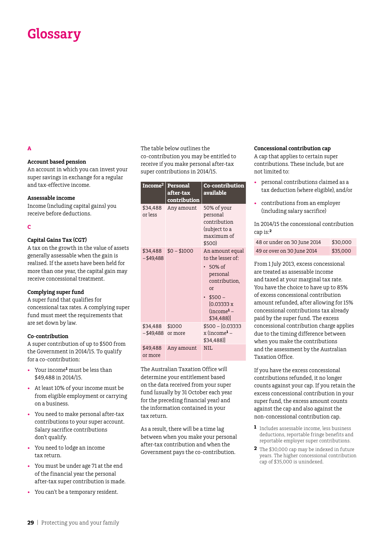# **Glossary**

#### **Account based pension**

An account in which you can invest your super savings in exchange for a regular and tax-effective income.

#### **Assessable income**

Income (including capital gains) you receive before deductions.

#### **C**

#### **Capital Gains Tax (CGT)**

A tax on the growth in the value of assets generally assessable when the gain is realised. If the assets have been held for more than one year, the capital gain may receive concessional treatment.

#### **Complying super fund**

A super fund that qualifies for concessional tax rates. A complying super fund must meet the requirements that are set down by law.

#### **Co-contribution**

A super contribution of up to \$500 from the Government in 2014/15. To qualify for a co-contribution:

- • Your income**<sup>1</sup>** must be less than \$49,488 in 2014/15.
- • At least 10% of your income must be from eligible employment or carrying on a business.
- You need to make personal after-tax contributions to your super account. Salary sacrifice contributions don't qualify.
- You need to lodge an income tax return.
- • You must be under age 71 at the end of the financial year the personal after-tax super contribution is made.
- You can't be a temporary resident.

The table below outlines the co-contribution you may be entitled to receive if you make personal after-tax super contributions in 2014/15.

| Income <sup>2</sup>   | <b>Personal</b><br>after-tax<br>contribution | Co-contribution<br>available                                                                                                                     |
|-----------------------|----------------------------------------------|--------------------------------------------------------------------------------------------------------------------------------------------------|
| \$34,488<br>or less   | Any amount                                   | 50% of your<br>personal<br>contribution<br>(subject to a<br>maximum of<br>\$500)                                                                 |
| $- $49,488$           | $$34,488$ $$0 - $1000$                       | An amount equal<br>to the lesser of:<br>$\cdot$ 50% of<br>personal<br>contribution,<br>or<br>$$500 -$<br>[0.03333x]<br>$(income1 -$<br>\$34,488) |
| \$34,488<br>-\$49,488 | \$1000<br>or more                            | $$500 - [0.03333]$<br>x (income <sup>1</sup> –<br>\$34,488]                                                                                      |
| \$49.488<br>or more   | Any amount                                   | <b>NIL</b>                                                                                                                                       |

The Australian Taxation Office will determine your entitlement based on the data received from your super fund (usually by 31 October each year for the preceding financial year) and the information contained in your tax return.

As a result, there will be a time lag between when you make your personal after-tax contribution and when the Government pays the co-contribution.

#### **Concessional contribution cap**

A cap that applies to certain super contributions. These include, but are not limited to:

- personal contributions claimed as a tax deduction (where eligible), and/or
- • contributions from an employer (including salary sacrifice)

In 2014/15 the concessional contribution cap is:**<sup>2</sup>**

| 48 or under on 30 June 2014 | \$30,000 |
|-----------------------------|----------|
| 49 or over on 30 June 2014  | \$35,000 |

From 1 July 2013, excess concessional are treated as assessable income and taxed at your marginal tax rate. You have the choice to have up to 85% of excess concessional contribution amount refunded, after allowing for 15% concessional contributions tax already paid by the super fund. The excess concessional contribution charge applies due to the timing difference between when you make the contributions and the assessment by the Australian Taxation Office.

If you have the excess concessional contributions refunded, it no longer counts against your cap. If you retain the excess concessional contribution in your super fund, the excess amount counts against the cap and also against the non-concessional contribution cap.

- **1** Includes assessable income, less business deductions, reportable fringe benefits and reportable employer super contributions.
- **2** The \$30,000 cap may be indexed in future years. The higher concessional contribution cap of \$35,000 is unindexed.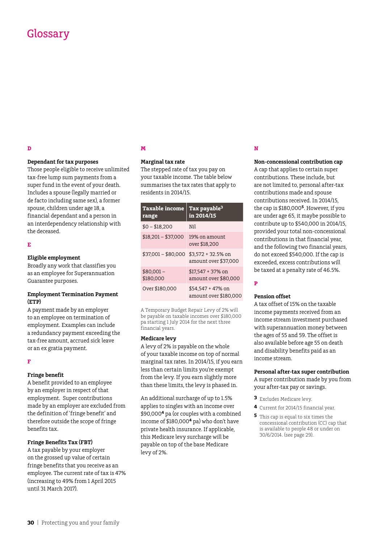## Glossary

#### **Dependant for tax purposes**

Those people eligible to receive unlimited tax-free lump sum payments from a super fund in the event of your death. Includes a spouse (legally married or de facto including same sex), a former spouse, children under age 18, a financial dependant and a person in an interdependency relationship with the deceased.

#### **E**

#### **Eligible employment**

Broadly any work that classifies you as an employee for Superannuation Guarantee purposes.

#### **Employment Termination Payment (ETP)**

A payment made by an employer to an employee on termination of employment. Examples can include a redundancy payment exceeding the tax-free amount, accrued sick leave or an ex gratia payment.

#### **F**

#### **Fringe benefit**

A benefit provided to an employee by an employer in respect of that employment. Super contributions made by an employer are excluded from the definition of 'fringe benefit' and therefore outside the scope of fringe benefits tax.

#### **Fringe Benefits Tax (FBT)**

A tax payable by your employer on the grossed up value of certain fringe benefits that you receive as an employee. The current rate of tax is 47% (increasing to 49% from 1 April 2015 until 31 March 2017).

#### **M**

#### **Marginal tax rate**

The stepped rate of tax you pay on your taxable income. The table below summarises the tax rates that apply to residents in 2014/15.

| <b>Taxable income</b><br>range | Tax payable <sup>3</sup><br>in 2014/15       |
|--------------------------------|----------------------------------------------|
| $$0 - $18.200$                 | Nil                                          |
| $$18,201 - $37,000$            | 19% on amount<br>over \$18,200               |
| $$37,001 - $80,000$            | $$3,572 + 32.5\%$ on<br>amount over \$37,000 |
| $$80.001 -$<br>\$180,000       | $$17.547 + 37\%$ on<br>amount over \$80,000  |
| Over \$180,000                 | $$54.547 + 47\%$ on<br>amount over \$180,000 |

A Temporary Budget Repair Levy of 2% will be payable on taxable incomes over \$180,000 pa starting 1 July 2014 for the next three financial years.

#### **Medicare levy**

A levy of 2% is payable on the whole of your taxable income on top of normal marginal tax rates. In 2014/15, if you earn less than certain limits you're exempt from the levy. If you earn slightly more than these limits, the levy is phased in.

An additional surcharge of up to 1.5% applies to singles with an income over \$90,000**<sup>4</sup>** pa (or couples with a combined income of \$180,000**<sup>4</sup>** pa) who don't have private health insurance. If applicable, this Medicare levy surcharge will be payable on top of the base Medicare levy of 2%.

#### **N**

#### **Non-concessional contribution cap**

A cap that applies to certain super contributions. These include, but are not limited to, personal after-tax contributions made and spouse contributions received. In 2014/15, the cap is \$180,000**<sup>5</sup>**. However, if you are under age 65, it maybe possible to contribute up to \$540,000 in 2014/15, provided your total non-concessional contributions in that financial year, and the following two financial years, do not exceed \$540,000. If the cap is exceeded, excess contributions will be taxed at a penalty rate of 46.5%.

#### **P**

#### **Pension offset**

A tax offset of 15% on the taxable income payments received from an income stream investment purchased with superannuation money between the ages of 55 and 59. The offset is also available before age 55 on death and disability benefits paid as an income stream.

#### **Personal after-tax super contribution**

A super contribution made by you from your after-tax pay or savings.

- **3** Excludes Medicare levy.
- **4** Current for 2014/15 financial year.
- **5** This cap is equal to six times the concessional contribution (CC) cap that is available to people 48 or under on 30/6/2014. (see page 29).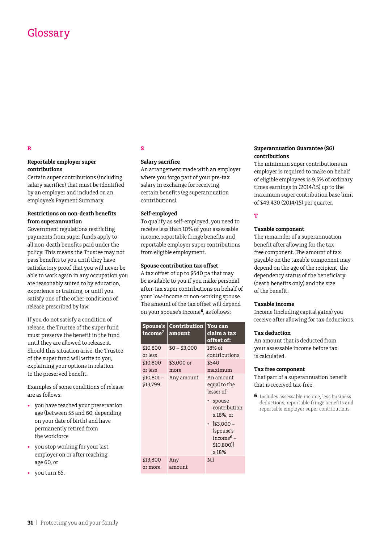## Glossary

#### **Reportable employer super contributions**

Certain super contributions (including salary sacrifice) that must be identified by an employer and included on an employee's Payment Summary.

#### **Restrictions on non-death benefits from superannuation**

Government regulations restricting payments from super funds apply to all non-death benefits paid under the policy. This means the Trustee may not pass benefits to you until they have satisfactory proof that you will never be able to work again in any occupation you are reasonably suited to by education, experience or training, or until you satisfy one of the other conditions of release prescribed by law.

If you do not satisfy a condition of release, the Trustee of the super fund must preserve the benefit in the fund until they are allowed to release it. Should this situation arise, the Trustee of the super fund will write to you, explaining your options in relation to the preserved benefit.

Examples of some conditions of release are as follows:

- you have reached your preservation age (between 55 and 60, depending on your date of birth) and have permanently retired from the workforce
- you stop working for your last employer on or after reaching age 60, or
- • you turn 65.

#### **S**

#### **Salary sacrifice**

An arrangement made with an employer where you forgo part of your pre-tax salary in exchange for receiving certain benefits (eg superannuation contributions).

#### **Self-employed**

To qualify as self-employed, you need to receive less than 10% of your assessable income, reportable fringe benefits and reportable employer super contributions from eligible employment.

#### **Spouse contribution tax offset**

A tax offset of up to \$540 pa that may be available to you if you make personal after-tax super contributions on behalf of your low-income or non-working spouse. The amount of the tax offset will depend on your spouse's income**6**, as follows:

| Spouse's<br>income <sup>7</sup> | Contribution<br>amount | You can<br>claim a tax<br>offset of:                                                                                                                      |
|---------------------------------|------------------------|-----------------------------------------------------------------------------------------------------------------------------------------------------------|
| \$10,800<br>or less             | \$0 – \$3,000          | 18% of<br>contributions                                                                                                                                   |
| \$10,800<br>or less             | \$3,000 or<br>more     | \$540<br>maximum                                                                                                                                          |
| $$10,801-$<br>\$13,799          | Any amount             | An amount<br>equal to the<br>lesser of:<br>spouse<br>contribution<br>x 18%, or<br>$[$3,000-$<br>(spouse's<br>income <sup>6</sup> –<br>\$10,800)]<br>x 18% |
| \$13,800<br>or more             | Any<br>amount          | Nil                                                                                                                                                       |

#### **Superannuation Guarantee (SG) contributions**

The minimum super contributions an employer is required to make on behalf of eligible employees is 9.5% of ordinary times earnings in (2014/15) up to the maximum super contribution base limit of \$49,430 (2014/15) per quarter.

#### **T**

#### **Taxable component**

The remainder of a superannuation benefit after allowing for the tax free component. The amount of tax payable on the taxable component may depend on the age of the recipient, the dependency status of the beneficiary (death benefits only) and the size of the benefit.

#### **Taxable income**

Income (including capital gains) you receive after allowing for tax deductions.

#### **Tax deduction**

An amount that is deducted from your assessable income before tax is calculated.

#### **Tax free component**

That part of a superannuation benefit that is received tax-free.

**6** Includes assessable income, less business deductions, reportable fringe benefits and reportable employer super contributions.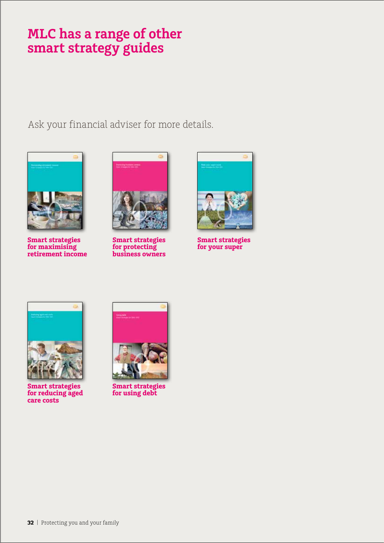# **MLC has a range of other smart strategy guides**

Ask your financial adviser for more details.



**Smart strategies for maximising retirement income**



**Smart strategies for protecting business owners**



**Smart strategies for your super**



**Smart strategies for reducing aged care costs**



**Smart strategies for using debt**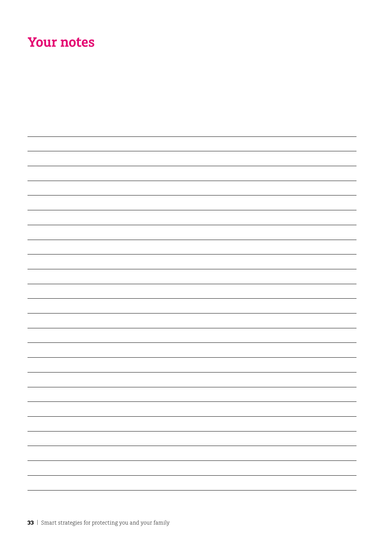# **Your notes**